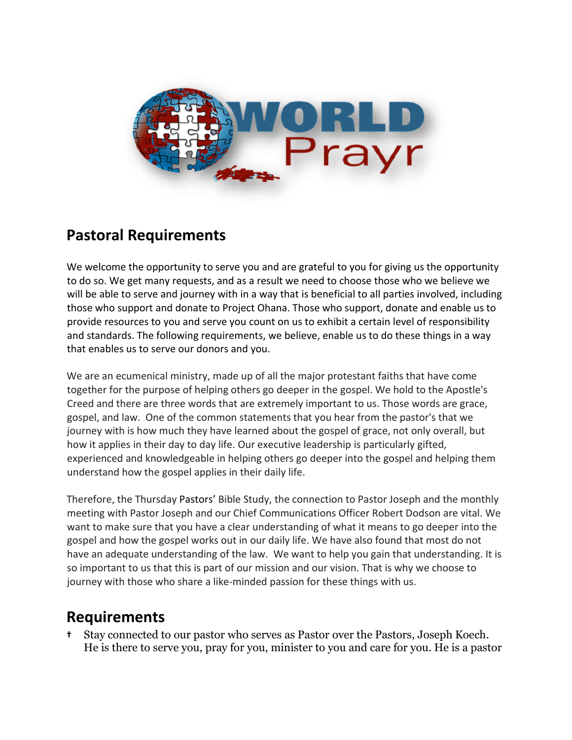

## **Pastoral Requirements**

We welcome the opportunity to serve you and are grateful to you for giving us the opportunity to do so. We get many requests, and as a result we need to choose those who we believe we will be able to serve and journey with in a way that is beneficial to all parties involved, including those who support and donate to Project Ohana. Those who support, donate and enable us to provide resources to you and serve you count on us to exhibit a certain level of responsibility and standards. The following requirements, we believe, enable us to do these things in a way that enables us to serve our donors and you.

We are an ecumenical ministry, made up of all the major protestant faiths that have come together for the purpose of helping others go deeper in the gospel. We hold to the Apostle's Creed and there are three words that are extremely important to us. Those words are grace, gospel, and law. One of the common statements that you hear from the pastor's that we journey with is how much they have learned about the gospel of grace, not only overall, but how it applies in their day to day life. Our executive leadership is particularly gifted, experienced and knowledgeable in helping others go deeper into the gospel and helping them understand how the gospel applies in their daily life.

Therefore, the Thursday Pastors' Bible Study, the connection to Pastor Joseph and the monthly meeting with Pastor Joseph and our Chief Communications Officer Robert Dodson are vital. We want to make sure that you have a clear understanding of what it means to go deeper into the gospel and how the gospel works out in our daily life. We have also found that most do not have an adequate understanding of the law. We want to help you gain that understanding. It is so important to us that this is part of our mission and our vision. That is why we choose to journey with those who share a like-minded passion for these things with us.

## **Requirements**

**†** Stay connected to our pastor who serves as Pastor over the Pastors, Joseph Koech. He is there to serve you, pray for you, minister to you and care for you. He is a pastor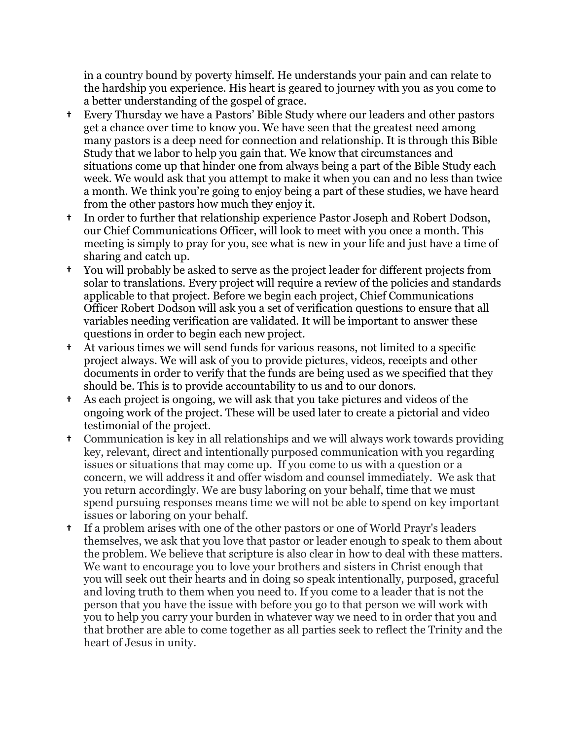in a country bound by poverty himself. He understands your pain and can relate to the hardship you experience. His heart is geared to journey with you as you come to a better understanding of the gospel of grace.

- **†** Every Thursday we have a Pastors' Bible Study where our leaders and other pastors get a chance over time to know you. We have seen that the greatest need among many pastors is a deep need for connection and relationship. It is through this Bible Study that we labor to help you gain that. We know that circumstances and situations come up that hinder one from always being a part of the Bible Study each week. We would ask that you attempt to make it when you can and no less than twice a month. We think you're going to enjoy being a part of these studies, we have heard from the other pastors how much they enjoy it.
- **†** In order to further that relationship experience Pastor Joseph and Robert Dodson, our Chief Communications Officer, will look to meet with you once a month. This meeting is simply to pray for you, see what is new in your life and just have a time of sharing and catch up.
- **†** You will probably be asked to serve as the project leader for different projects from solar to translations. Every project will require a review of the policies and standards applicable to that project. Before we begin each project, Chief Communications Officer Robert Dodson will ask you a set of verification questions to ensure that all variables needing verification are validated. It will be important to answer these questions in order to begin each new project.
- **†** At various times we will send funds for various reasons, not limited to a specific project always. We will ask of you to provide pictures, videos, receipts and other documents in order to verify that the funds are being used as we specified that they should be. This is to provide accountability to us and to our donors.
- **†** As each project is ongoing, we will ask that you take pictures and videos of the ongoing work of the project. These will be used later to create a pictorial and video testimonial of the project.
- **†** Communication is key in all relationships and we will always work towards providing key, relevant, direct and intentionally purposed communication with you regarding issues or situations that may come up. If you come to us with a question or a concern, we will address it and offer wisdom and counsel immediately. We ask that you return accordingly. We are busy laboring on your behalf, time that we must spend pursuing responses means time we will not be able to spend on key important issues or laboring on your behalf.
- **†** If a problem arises with one of the other pastors or one of World Prayr's leaders themselves, we ask that you love that pastor or leader enough to speak to them about the problem. We believe that scripture is also clear in how to deal with these matters. We want to encourage you to love your brothers and sisters in Christ enough that you will seek out their hearts and in doing so speak intentionally, purposed, graceful and loving truth to them when you need to. If you come to a leader that is not the person that you have the issue with before you go to that person we will work with you to help you carry your burden in whatever way we need to in order that you and that brother are able to come together as all parties seek to reflect the Trinity and the heart of Jesus in unity.